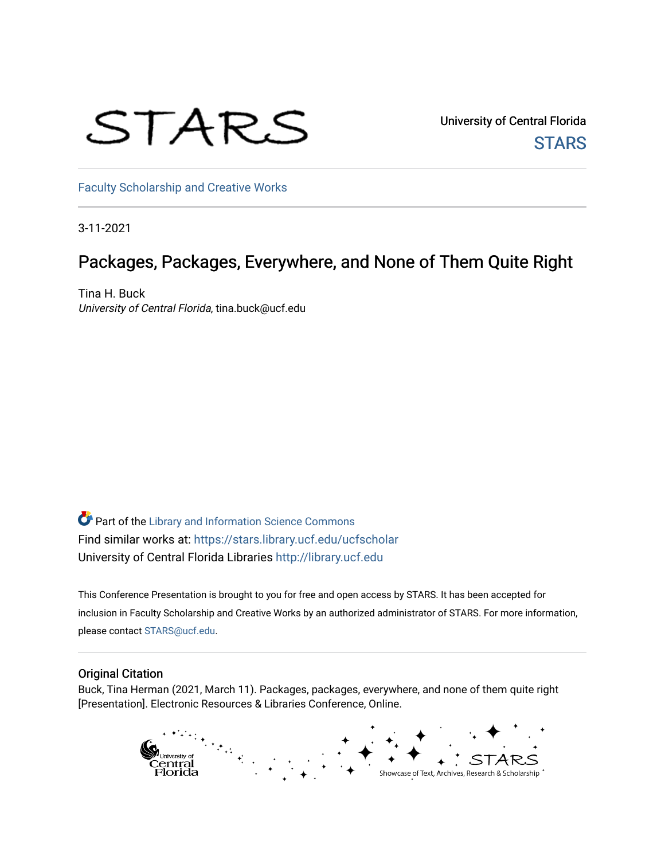# STARS

University of Central Florida **STARS** 

[Faculty Scholarship and Creative Works](https://stars.library.ucf.edu/ucfscholar) 

3-11-2021

#### Packages, Packages, Everywhere, and None of Them Quite Right

Tina H. Buck University of Central Florida, tina.buck@ucf.edu

**C** Part of the Library and Information Science Commons Find similar works at: <https://stars.library.ucf.edu/ucfscholar> University of Central Florida Libraries [http://library.ucf.edu](http://library.ucf.edu/) 

This Conference Presentation is brought to you for free and open access by STARS. It has been accepted for inclusion in Faculty Scholarship and Creative Works by an authorized administrator of STARS. For more information, please contact [STARS@ucf.edu](mailto:STARS@ucf.edu).

#### Original Citation

Buck, Tina Herman (2021, March 11). Packages, packages, everywhere, and none of them quite right [Presentation]. Electronic Resources & Libraries Conference, Online.

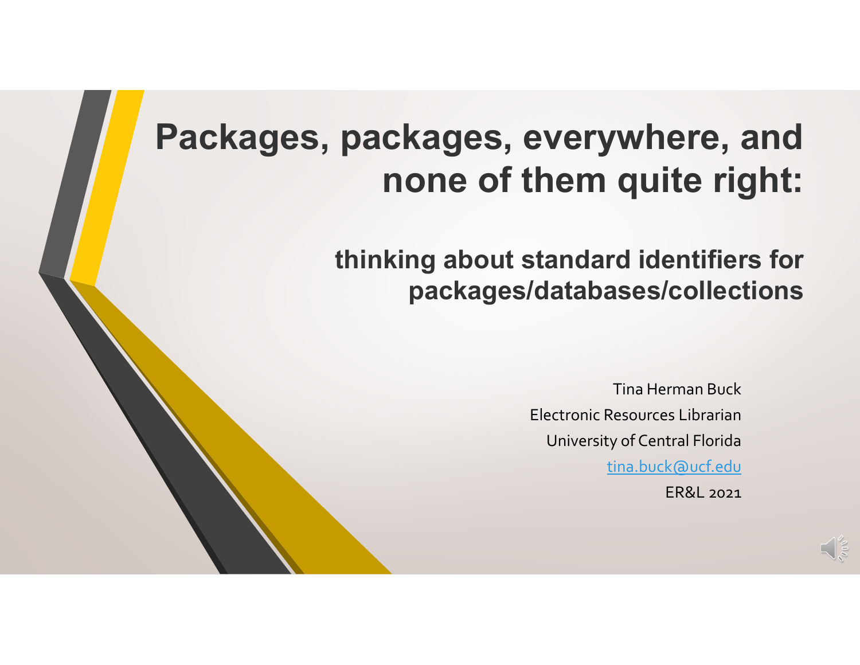## **Packages, packages, everywhere, and none of them quite right:**

**thinking about standard identifiers for packages/databases/collections**

> Tina Herman Buck Electronic Resources LibrarianUniversity of Central Florida tina.buck@ucf.edu ER&L 2021

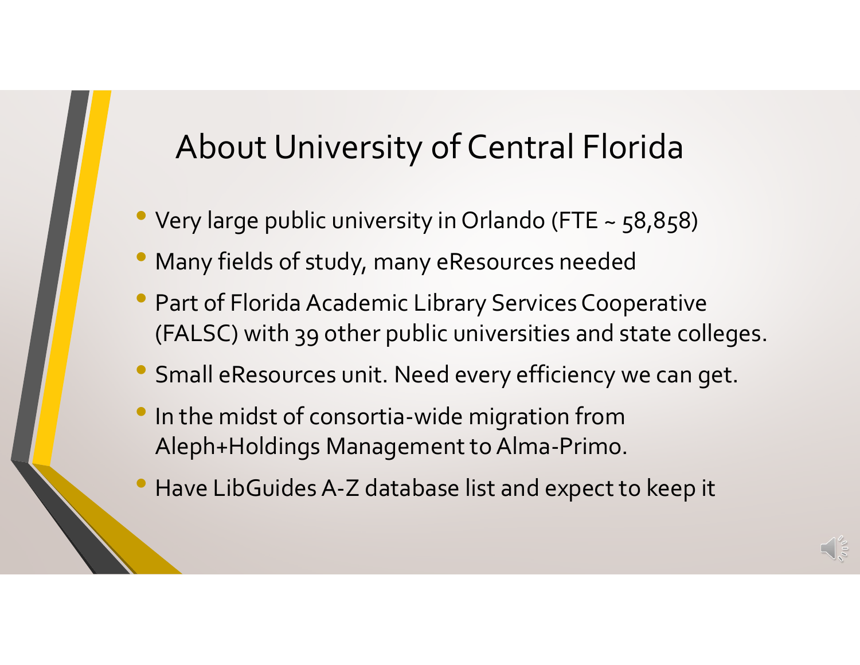#### About University of Central Florida

- Very large public university in Orlando (FTE <sup>~</sup> 58,858)
- $\bullet$ Many fields of study, many eResources needed
- Part of Florida Academic Library Services Cooperative (FALSC) with 39 other public universities and state colleges.
- Small eResources unit. Need every efficiency we can get.
- $\bullet$ **In the midst of consortia-wide migration from** Aleph+Holdings Management to Alma-Primo.
- $\bullet$ Have LibGuides A‐Z database list and expec<sup>t</sup> to keep it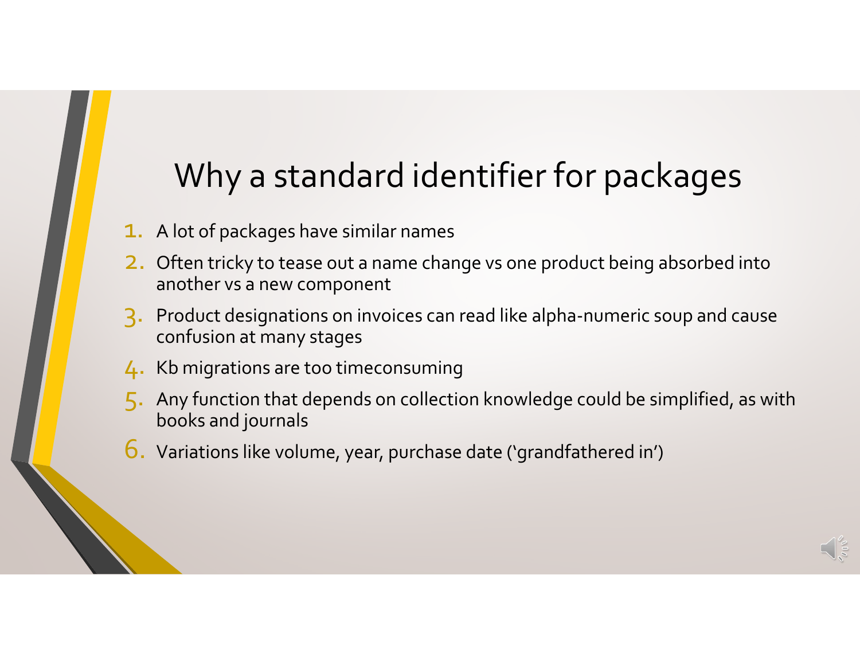### Why <sup>a</sup> standard identifier for packages

- $\textcolor{red}{\textbf{1.}}\;$  A lot of packages have similar names
- **2**. Often tricky to tease out a name change vs one product being absorbed into another vs a new component
- 3. Product designations on invoices can read like alpha‐numeric soup and cause confusion at many stages
- 4. Kb migrations are too timeconsuming
- 5. Any function that depends on collection knowledge could be simplified, as with books and journals
- $\boldsymbol{6}$ . Variations like volume, year, purchase date ('grandfathered in')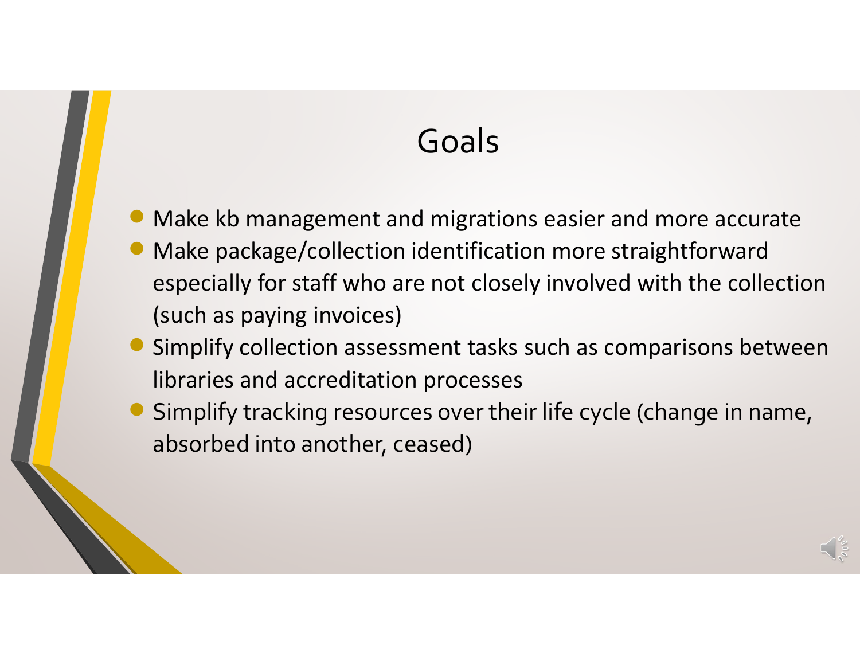#### Goals

- Make kb management and migrations easier and more accurate
- Make package/collection identification more straightforward especially for staff who are not closely involved with the collection (such as paying invoices)
- Simplify collection assessment tasks such as comparisons between libraries and accreditation processes
- Simplify tracking resources over their life cycle (change in name, absorbed into another, ceased)

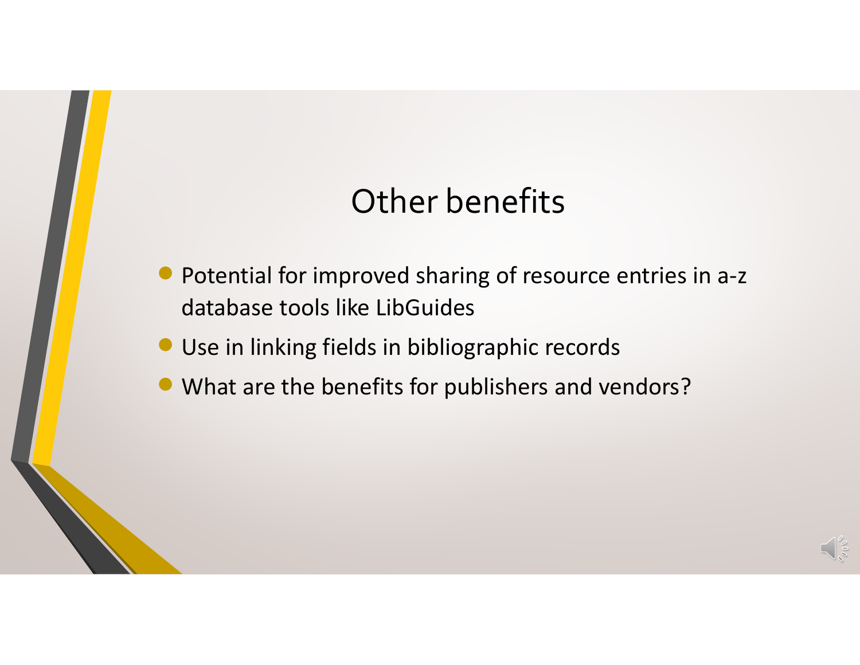#### Other benefits

- $\bullet$  Potential for improved sharing of resource entries in <sup>a</sup>‐<sup>z</sup> database tools like LibGuides
- **Use in linking fields in bibliographic records**
- What are the benefits for publishers and vendors?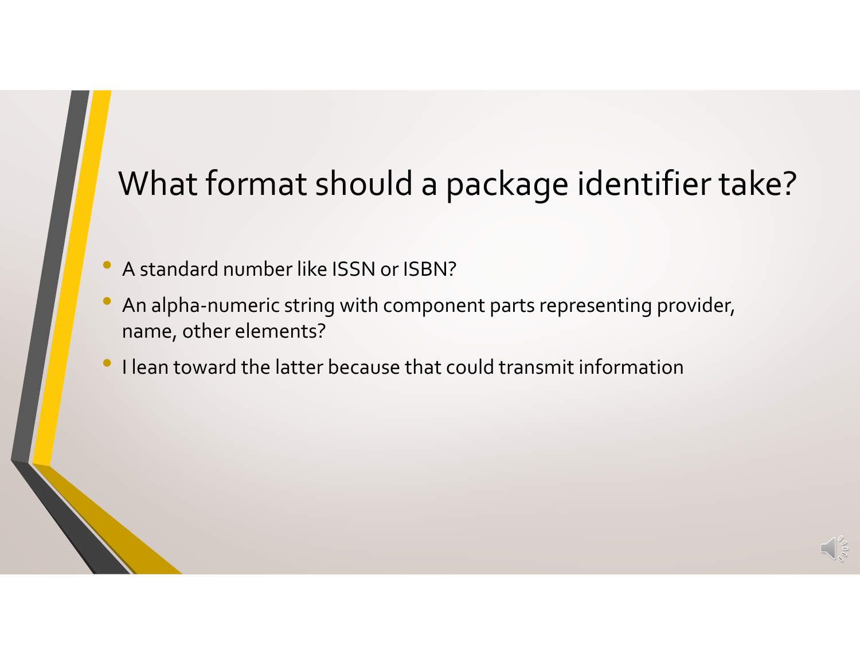#### What format should <sup>a</sup> package identifier take?

- •A standard number like ISSN or ISBN?
- • An alpha‐numeric string with componen<sup>t</sup> parts representing provider, name, other elements?
- •**• I lean toward the latter because that could transmit information**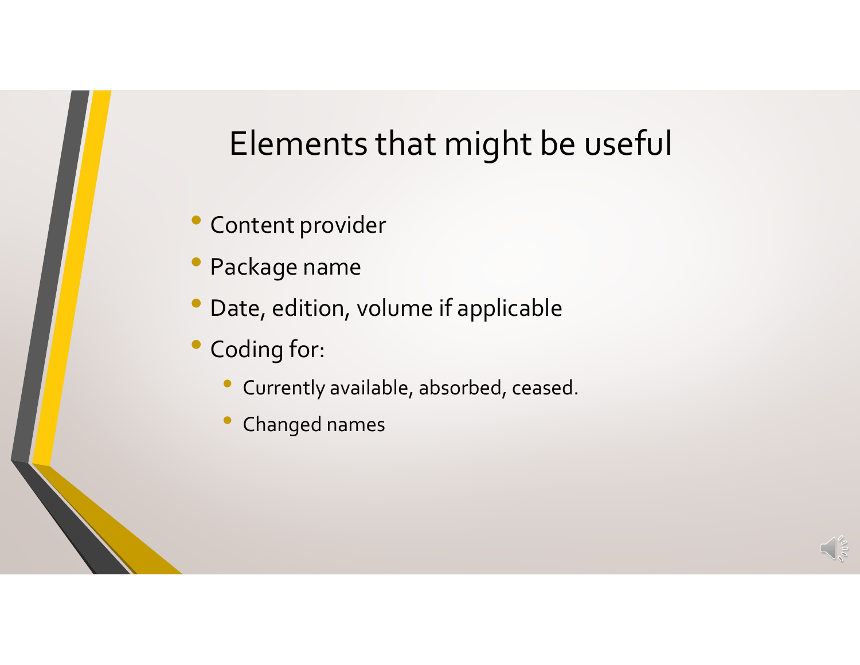#### Elements that might be useful

- Content provider
- •Package name
- •Date, edition, volume if applicable
- Coding for:
	- Currently available, absorbed, ceased.
	- •Changed names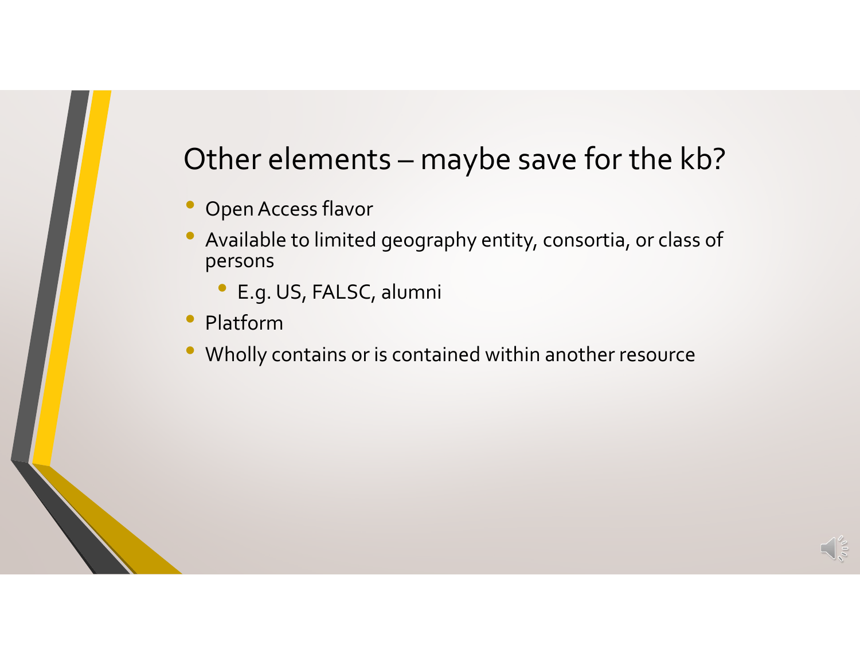#### Other elements – maybe save for the kb?

- •OpenAccess flavor
- $\bullet$  Available to limited geography entity, consortia, or class of persons
	- •E.g. US, FALSC, alumni
- $\bullet$ Platform
- •Wholly contains or is contained within another resource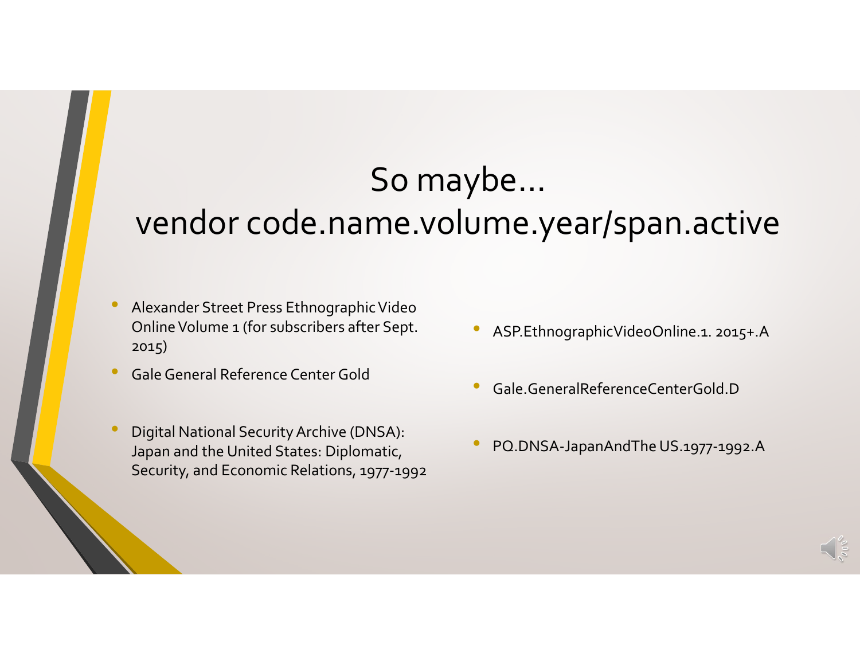### So maybe…

#### vendor code.name.volume.year/span.active

- •**• Alexander Street Press Ethnographic Video** Online Volume 1 (for subscribers after Sept. 2015)
- •**• Gale General Reference Center Gold**
- • Digital National SecurityArchive (DNSA): Japan and the United States: Diplomatic, Security, and Economic Relations, 1977‐1992
- •ASP.EthnographicVideoOnline.1. 2015+.A
- •Gale.GeneralReferenceCenterGold.D
- •PQ.DNSA‐JapanAndThe US.1977‐1992.A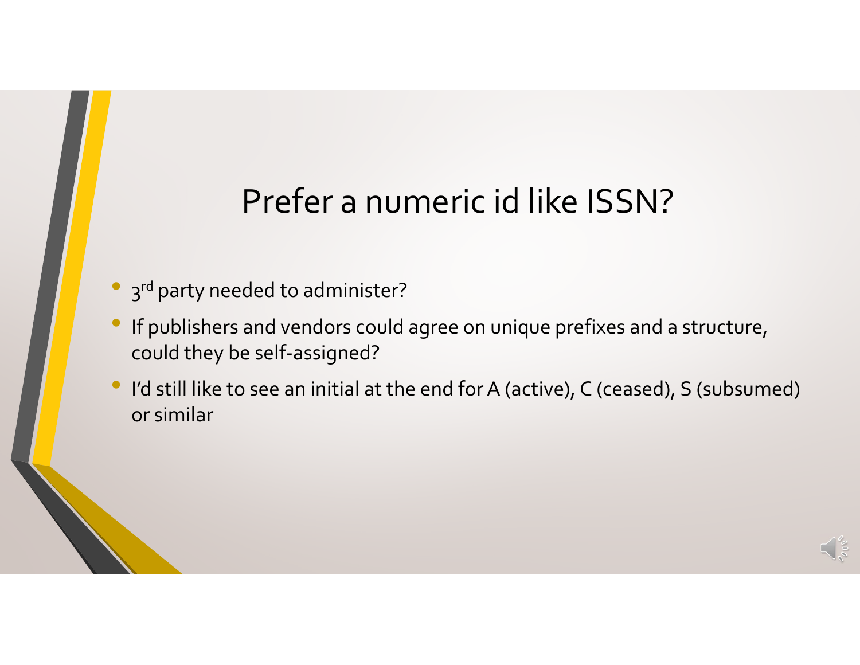### Prefer <sup>a</sup> numeric id like ISSN?

- •3<sup>rd</sup> party needed to administer?
- • If publishers and vendors could agree on unique prefixes and <sup>a</sup> structure, could they be self‐assigned?
- •• I'd still like to see an initial at the end for A (active), C (ceased), S (subsumed) or similar